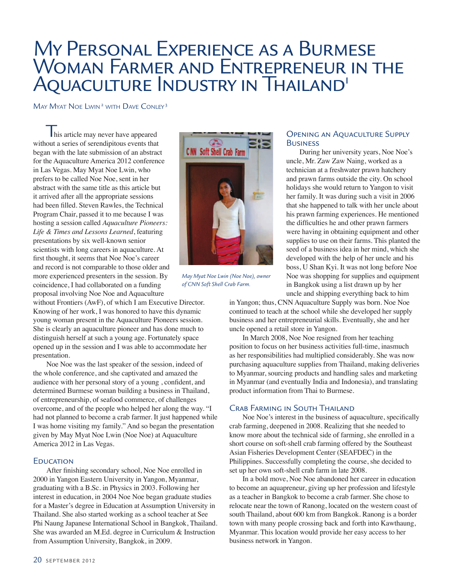# My Personal Experience as a Burmese WOMAN FARMER AND ENTREPRENEUR IN THE AQUACULTURE INDUSTRY IN THAILAND'

MAY MYAT NOE LWIN<sup>2</sup> WITH DAVE CONLEY<sup>3</sup>

**This article may never have appeared** without a series of serendipitous events that began with the late submission of an abstract for the Aquaculture America 2012 conference in Las Vegas. May Myat Noe Lwin, who prefers to be called Noe Noe, sent in her abstract with the same title as this article but it arrived after all the appropriate sessions had been filled. Steven Rawles, the Technical Program Chair, passed it to me because I was hosting a session called *Aquaculture Pioneers: Life & Times and Lessons Learned*, featuring presentations by six well-known senior scientists with long careers in aquaculture. At first thought, it seems that Noe Noe's career and record is not comparable to those older and more experienced presenters in the session. By coincidence, I had collaborated on a funding proposal involving Noe Noe and Aquaculture

without Frontiers (AwF), of which I am Executive Director. Knowing of her work, I was honored to have this dynamic young woman present in the Aquaculture Pioneers session. She is clearly an aquaculture pioneer and has done much to distinguish herself at such a young age. Fortunately space opened up in the session and I was able to accommodate her presentation.

Noe Noe was the last speaker of the session, indeed of the whole conference, and she captivated and amazed the audience with her personal story of a young , confident, and determined Burmese woman building a business in Thailand, of entrepreneurship, of seafood commerce, of challenges overcome, and of the people who helped her along the way. "I had not planned to become a crab farmer. It just happened while I was home visiting my family." And so began the presentation given by May Myat Noe Lwin (Noe Noe) at Aquaculture America 2012 in Las Vegas.

#### **EDUCATION**

After finishing secondary school, Noe Noe enrolled in 2000 in Yangon Eastern University in Yangon, Myanmar, graduating with a B.Sc. in Physics in 2003. Following her interest in education, in 2004 Noe Noe began graduate studies for a Master's degree in Education at Assumption University in Thailand. She also started working as a school teacher at See Phi Naung Japanese International School in Bangkok, Thailand. She was awarded an M.Ed. degree in Curriculum & Instruction from Assumption University, Bangkok, in 2009.



*May Myat Noe Lwin (Noe Noe), owner of CNN Soft Shell Crab Farm.*

# Opening an Aquaculture Supply **BUSINESS**

During her university years, Noe Noe's uncle, Mr. Zaw Zaw Naing, worked as a technician at a freshwater prawn hatchery and prawn farms outside the city. On school holidays she would return to Yangon to visit her family. It was during such a visit in 2006 that she happened to talk with her uncle about his prawn farming experiences. He mentioned the difficulties he and other prawn farmers were having in obtaining equipment and other supplies to use on their farms. This planted the seed of a business idea in her mind, which she developed with the help of her uncle and his boss, U Shan Kyi. It was not long before Noe Noe was shopping for supplies and equipment in Bangkok using a list drawn up by her uncle and shipping everything back to him

in Yangon; thus, CNN Aquaculture Supply was born. Noe Noe continued to teach at the school while she developed her supply business and her entrepreneurial skills. Eventually, she and her uncle opened a retail store in Yangon.

In March 2008, Noe Noe resigned from her teaching position to focus on her business activities full-time, inasmuch as her responsibilities had multiplied considerably. She was now purchasing aquaculture supplies from Thailand, making deliveries to Myanmar, sourcing products and handling sales and marketing in Myanmar (and eventually India and Indonesia), and translating product information from Thai to Burmese.

#### Crab Farming in South Thailand

Noe Noe's interest in the business of aquaculture, specifically crab farming, deepened in 2008. Realizing that she needed to know more about the technical side of farming, she enrolled in a short course on soft-shell crab farming offered by the Southeast Asian Fisheries Development Center (SEAFDEC) in the Philippines. Successfully completing the course, she decided to set up her own soft-shell crab farm in late 2008.

In a bold move, Noe Noe abandoned her career in education to become an aquapreneur, giving up her profession and lifestyle as a teacher in Bangkok to become a crab farmer. She chose to relocate near the town of Ranong, located on the western coast of south Thailand, about 600 km from Bangkok. Ranong is a border town with many people crossing back and forth into Kawthaung, Myanmar. This location would provide her easy access to her business network in Yangon.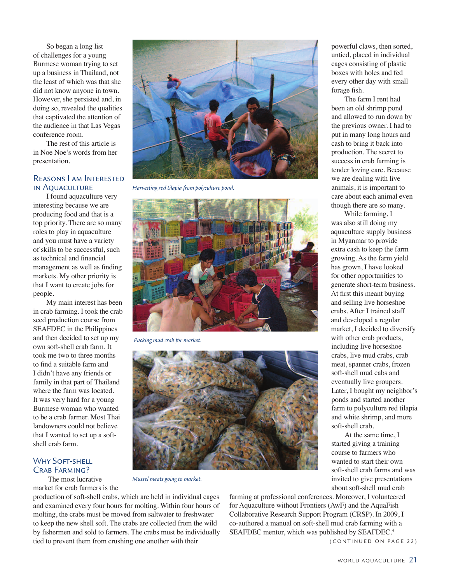So began a long list of challenges for a young Burmese woman trying to set up a business in Thailand, not the least of which was that she did not know anyone in town. However, she persisted and, in doing so, revealed the qualities that captivated the attention of the audience in that Las Vegas conference room.

The rest of this article is in Noe Noe's words from her presentation.

### Reasons I am Interested in Aquaculture

I found aquaculture very interesting because we are producing food and that is a top priority. There are so many roles to play in aquaculture and you must have a variety of skills to be successful, such as technical and financial management as well as finding markets. My other priority is that I want to create jobs for people.

My main interest has been in crab farming. I took the crab seed production course from SEAFDEC in the Philippines and then decided to set up my own soft-shell crab farm. It took me two to three months to find a suitable farm and I didn't have any friends or family in that part of Thailand where the farm was located. It was very hard for a young Burmese woman who wanted to be a crab farmer. Most Thai landowners could not believe that I wanted to set up a softshell crab farm.

# WHY SOFT-SHELL CRAB FARMING?

 The most lucrative market for crab farmers is the



*Harvesting red tilapia from polyculture pond.*



 *Packing mud crab for market.*



*Mussel meats going to market.*

production of soft-shell crabs, which are held in individual cages and examined every four hours for molting. Within four hours of molting, the crabs must be moved from saltwater to freshwater to keep the new shell soft. The crabs are collected from the wild by fishermen and sold to farmers. The crabs must be individually tied to prevent them from crushing one another with their (CONTINUED ON PAGE 22)

farming at professional conferences. Moreover, I volunteered for Aquaculture without Frontiers (AwF) and the AquaFish Collaborative Research Support Program (CRSP). In 2009, I co-authored a manual on soft-shell mud crab farming with a SEAFDEC mentor, which was published by SEAFDEC.<sup>4</sup>

powerful claws, then sorted, untied, placed in individual cages consisting of plastic boxes with holes and fed every other day with small forage fish.

The farm I rent had been an old shrimp pond and allowed to run down by the previous owner. I had to put in many long hours and cash to bring it back into production. The secret to success in crab farming is tender loving care. Because we are dealing with live animals, it is important to care about each animal even though there are so many.

While farming, I was also still doing my aquaculture supply business in Myanmar to provide extra cash to keep the farm growing. As the farm yield has grown, I have looked for other opportunities to generate short-term business. At first this meant buying and selling live horseshoe crabs. After I trained staff and developed a regular market, I decided to diversify with other crab products, including live horseshoe crabs, live mud crabs, crab meat, spanner crabs, frozen soft-shell mud cabs and eventually live groupers. Later, I bought my neighbor's ponds and started another farm to polyculture red tilapia and white shrimp, and more soft-shell crab.

At the same time, I started giving a training course to farmers who wanted to start their own soft-shell crab farms and was invited to give presentations about soft-shell mud crab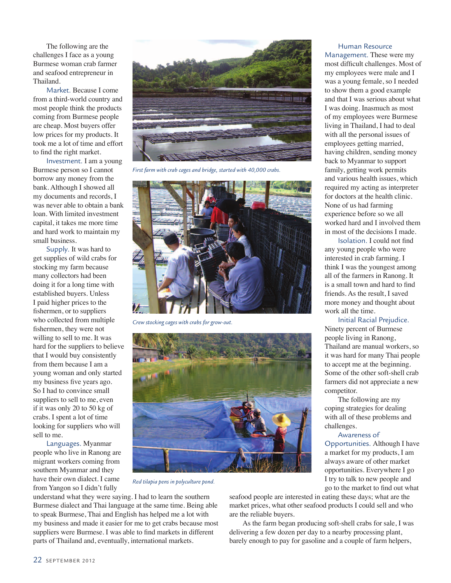The following are the challenges I face as a young Burmese woman crab farmer and seafood entrepreneur in Thailand.

Market. Because I come from a third-world country and most people think the products coming from Burmese people are cheap. Most buyers offer low prices for my products. It took me a lot of time and effort to find the right market.

Investment. I am a young Burmese person so I cannot borrow any money from the bank. Although I showed all my documents and records, I was never able to obtain a bank loan. With limited investment capital, it takes me more time and hard work to maintain my small business.

Supply. It was hard to get supplies of wild crabs for stocking my farm because many collectors had been doing it for a long time with established buyers. Unless I paid higher prices to the fishermen, or to suppliers who collected from multiple fishermen, they were not willing to sell to me. It was hard for the suppliers to believe that I would buy consistently from them because I am a young woman and only started my business five years ago. So I had to convince small suppliers to sell to me, even if it was only 20 to 50 kg of crabs. I spent a lot of time looking for suppliers who will sell to me.

Languages. Myanmar people who live in Ranong are migrant workers coming from southern Myanmar and they have their own dialect. I came from Yangon so I didn't fully



*First farm with crab cages and bridge, started with 40,000 crabs.*



*Crew stocking cages with crabs for grow-out.*



*Red tilapia pens in polyculture pond.*

understand what they were saying. I had to learn the southern Burmese dialect and Thai language at the same time. Being able to speak Burmese, Thai and English has helped me a lot with my business and made it easier for me to get crabs because most suppliers were Burmese. I was able to find markets in different parts of Thailand and, eventually, international markets.

Human Resource

Management. These were my most difficult challenges. Most of my employees were male and I was a young female, so I needed to show them a good example and that I was serious about what I was doing. Inasmuch as most of my employees were Burmese living in Thailand, I had to deal with all the personal issues of employees getting married, having children, sending money back to Myanmar to support family, getting work permits and various health issues, which required my acting as interpreter for doctors at the health clinic. None of us had farming experience before so we all worked hard and I involved them in most of the decisions I made.

Isolation. I could not find any young people who were interested in crab farming. I think I was the youngest among all of the farmers in Ranong. It is a small town and hard to find friends. As the result, I saved more money and thought about work all the time.

Initial Racial Prejudice.

Ninety percent of Burmese people living in Ranong, Thailand are manual workers, so it was hard for many Thai people to accept me at the beginning. Some of the other soft-shell crab farmers did not appreciate a new competitor.

The following are my coping strategies for dealing with all of these problems and challenges.

Awareness of Opportunities. Although I have a market for my products, I am always aware of other market opportunities. Everywhere I go I try to talk to new people and go to the market to find out what

seafood people are interested in eating these days; what are the market prices, what other seafood products I could sell and who are the reliable buyers.

As the farm began producing soft-shell crabs for sale, I was delivering a few dozen per day to a nearby processing plant, barely enough to pay for gasoline and a couple of farm helpers,